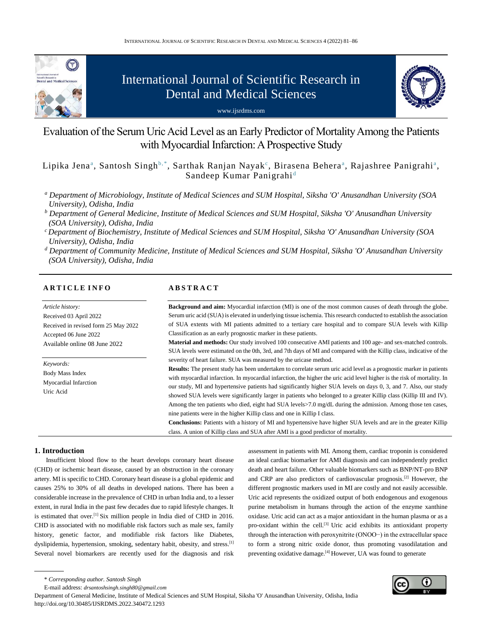

# International Journal of Scientific Research in Dental and Medical Sciences

www.ijsrdms.com



Evaluation of the Serum Uric Acid Level as an Early Predictor of Mortality Among the Patients with Myocardial Infarction: A Prospective Study

Lipika Jenaª, Santosh Singhʰ,\*, Sarthak Ranjan Nayak°, Birasena Beheraª, Rajashree Panigrahiª, Sandeep Kumar Panigrahi<sup>d</sup>

- *<sup>a</sup> Department of Microbiology, Institute of Medical Sciences and SUM Hospital, Siksha 'O' Anusandhan University (SOA University), Odisha, India*
- *<sup>b</sup> Department of General Medicine, Institute of Medical Sciences and SUM Hospital, Siksha 'O' Anusandhan University (SOA University), Odisha, India*
- *<sup>c</sup>Department of Biochemistry, Institute of Medical Sciences and SUM Hospital, Siksha 'O' Anusandhan University (SOA University), Odisha, India*
- *<sup>d</sup> Department of Community Medicine, Institute of Medical Sciences and SUM Hospital, Siksha 'O' Anusandhan University (SOA University), Odisha, India*

# **A R T I C L E I N F O**

*Article history:* Received 03 April 2022 Received in revised form 25 May 2022 Accepted 06 June 2022 Available online 08 June 2022

*Keywords:* Body Mass Index Myocardial Infarction Uric Acid

# **A B S T R A C T**

**Background and aim:** Myocardial infarction (MI) is one of the most common causes of death through the globe. Serum uric acid (SUA) is elevated in underlying tissue ischemia. This research conducted to establish the association of SUA extents with MI patients admitted to a tertiary care hospital and to compare SUA levels with Killip Classification as an early prognostic marker in these patients.

**Material and methods:** Our study involved 100 consecutive AMI patients and 100 age- and sex-matched controls. SUA levels were estimated on the 0th, 3rd, and 7th days of MI and compared with the Killip class, indicative of the severity of heart failure. SUA was measured by the uricase method.

**Results:** The present study has been undertaken to correlate serum uric acid level as a prognostic marker in patients with myocardial infarction. In myocardial infarction, the higher the uric acid level higher is the risk of mortality. In our study, MI and hypertensive patients had significantly higher SUA levels on days 0, 3, and 7. Also, our study showed SUA levels were significantly larger in patients who belonged to a greater Killip class (Killip III and IV). Among the ten patients who died, eight had SUA levels>7.0 mg/dL during the admission. Among those ten cases, nine patients were in the higher Killip class and one in Killip I class.

**Conclusions:** Patients with a history of MI and hypertensive have higher SUA levels and are in the greater Killip class. A union of Killip class and SUA after AMI is a good predictor of mortality.

## **1. Introduction**

Insufficient blood flow to the heart develops coronary heart disease (CHD) or ischemic heart disease, caused by an obstruction in the coronary artery. MI is specific to CHD. Coronary heart disease is a global epidemic and causes 25% to 30% of all deaths in developed nations. There has been a considerable increase in the prevalence of CHD in urban India and, to a lesser extent, in rural India in the past few decades due to rapid lifestyle changes. It is estimated that over.<sup>[1]</sup> Six million people in India died of CHD in 2016. CHD is associated with no modifiable risk factors such as male sex, family history, genetic factor, and modifiable risk factors like Diabetes, dyslipidemia, hypertension, smoking, sedentary habit, obesity, and stress.<sup>[1]</sup> Several novel biomarkers are recently used for the diagnosis and risk assessment in patients with MI. Among them, cardiac troponin is considered an ideal cardiac biomarker for AMI diagnosis and can independently predict death and heart failure. Other valuable biomarkers such as BNP/NT-pro BNP and CRP are also predictors of cardiovascular prognosis.[2] However, the different prognostic markers used in MI are costly and not easily accessible. Uric acid represents the oxidized output of both endogenous and exogenous purine metabolism in humans through the action of the enzyme xanthine oxidase. Uric acid can act as a major antioxidant in the human plasma or as a pro-oxidant within the cell.<sup>[3]</sup> Uric acid exhibits its antioxidant property through the interaction with peroxynitrite (ONOO−) in the extracellular space to form a strong nitric oxide donor, thus promoting vasodilatation and preventing oxidative damage.[4] However, UA was found to generate

Department of General Medicine, Institute of Medical Sciences and SUM Hospital, Siksha 'O' Anusandhan University, Odisha, India http://doi.org/10.30485/IJSRDMS.2022.340472.1293



<sup>\*</sup> *Corresponding author. Santosh Singh*

E-mail address: *drsantoshsingh.singh80@gmail.com*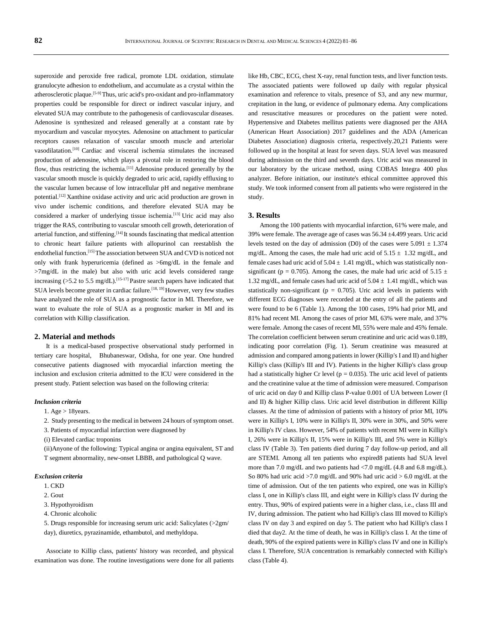superoxide and peroxide free radical, promote LDL oxidation, stimulate granulocyte adhesion to endothelium, and accumulate as a crystal within the atherosclerotic plaque.<sup>[5-9]</sup>Thus, uric acid's pro-oxidant and pro-inflammatory properties could be responsible for direct or indirect vascular injury, and elevated SUA may contribute to the pathogenesis of cardiovascular diseases. Adenosine is synthesized and released generally at a constant rate by myocardium and vascular myocytes. Adenosine on attachment to particular receptors causes relaxation of vascular smooth muscle and arteriolar vasodilatation.[10] Cardiac and visceral ischemia stimulates the increased production of adenosine, which plays a pivotal role in restoring the blood flow, thus restricting the ischemia.[11] Adenosine produced generally by the vascular smooth muscle is quickly degraded to uric acid, rapidly effluxing to the vascular lumen because of low intracellular pH and negative membrane potential.[12] Xanthine oxidase activity and uric acid production are grown in vivo under ischemic conditions, and therefore elevated SUA may be considered a marker of underlying tissue ischemia.<sup>[13]</sup> Uric acid may also trigger the RAS, contributing to vascular smooth cell growth, deterioration of arterial function, and stiffening.<sup>[14]</sup> It sounds fascinating that medical attention to chronic heart failure patients with allopurinol can reestablish the endothelial function.<sup>[15]</sup>The association between SUA and CVD is noticed not only with frank hyperuricemia (defined as >6mg/dL in the female and >7mg/dL in the male) but also with uric acid levels considered range increasing ( $>5.2$  to 5.5 mg/dL).<sup>[15-17]</sup> Pastre search papers have indicated that SUA levels become greater in cardiac failure.<sup>[18, 19]</sup> However, very few studies have analyzed the role of SUA as a prognostic factor in MI. Therefore, we want to evaluate the role of SUA as a prognostic marker in MI and its correlation with Killip classification.

#### **2. Material and methods**

It is a medical-based prospective observational study performed in tertiary care hospital, Bhubaneswar, Odisha, for one year. One hundred consecutive patients diagnosed with myocardial infarction meeting the inclusion and exclusion criteria admitted to the ICU were considered in the present study. Patient selection was based on the following criteria:

#### *Inclusion criteria*

- 1. Age > 18years.
- 2. Study presenting to the medical in between 24 hours of symptom onset.
- 3. Patients of myocardial infarction were diagnosed by
- (i) Elevated cardiac troponins

(ii)Anyone of the following: Typical angina or angina equivalent, ST and T segment abnormality, new-onset LBBB, and pathological Q wave.

#### *Exclusion criteria*

- 1. CKD
- 2. Gout
- 3. Hypothyroidism
- 4. Chronic alcoholic

5. Drugs responsible for increasing serum uric acid: Salicylates (>2gm/ day), diuretics, pyrazinamide, ethambutol, and methyldopa.

Associate to Killip class, patients' history was recorded, and physical examination was done. The routine investigations were done for all patients like Hb, CBC, ECG, chest X-ray, renal function tests, and liver function tests. The associated patients were followed up daily with regular physical examination and reference to vitals, presence of S3, and any new murmur, crepitation in the lung, or evidence of pulmonary edema. Any complications and resuscitative measures or procedures on the patient were noted. Hypertensive and Diabetes mellitus patients were diagnosed per the AHA (American Heart Association) 2017 guidelines and the ADA (American Diabetes Association) diagnosis criteria, respectively.20,21 Patients were followed up in the hospital at least for seven days. SUA level was measured during admission on the third and seventh days. Uric acid was measured in our laboratory by the uricase method, using COBAS Integra 400 plus analyzer. Before initiation, our institute's ethical committee approved this study. We took informed consent from all patients who were registered in the study.

# **3. Results**

Among the 100 patients with myocardial infarction, 61% were male, and 39% were female. The average age of cases was 56.34 ±4.499 years. Uric acid levels tested on the day of admission (D0) of the cases were  $5.091 \pm 1.374$ mg/dL. Among the cases, the male had uric acid of  $5.15 \pm 1.32$  mg/dL, and female cases had uric acid of  $5.04 \pm 1.41$  mg/dL, which was statistically nonsignificant (p = 0.705). Among the cases, the male had uric acid of 5.15  $\pm$ 1.32 mg/dL, and female cases had uric acid of  $5.04 \pm 1.41$  mg/dL, which was statistically non-significant ( $p = 0.705$ ). Uric acid levels in patients with different ECG diagnoses were recorded at the entry of all the patients and were found to be 6 (Table 1). Among the 100 cases, 19% had prior MI, and 81% had recent MI. Among the cases of prior MI, 63% were male, and 37% were female. Among the cases of recent MI, 55% were male and 45% female. The correlation coefficient between serum creatinine and uric acid was 0.189, indicating poor correlation (Fig. 1). Serum creatinine was measured at admission and compared among patients in lower (Killip's I and II) and higher Killip's class (Killip's III and IV). Patients in the higher Killip's class group had a statistically higher Cr level ( $p = 0.035$ ). The uric acid level of patients and the creatinine value at the time of admission were measured. Comparison of uric acid on day 0 and Killip class P-value 0.001 of UA between Lower (I and II) & higher Killip class. Uric acid level distribution in different Killip classes. At the time of admission of patients with a history of prior MI, 10% were in Killip's I, 10% were in Killip's II, 30% were in 30%, and 50% were in Killip's IV class. However, 54% of patients with recent MI were in Killip's I, 26% were in Killip's II, 15% were in Killip's III, and 5% were in Killip's class IV (Table 3). Ten patients died during 7 day follow-up period, and all are STEMI. Among all ten patients who expired8 patients had SUA level more than 7.0 mg/dL and two patients had <7.0 mg/dL (4.8 and 6.8 mg/dL). So 80% had uric acid >7.0 mg/dL and 90% had uric acid > 6.0 mg/dL at the time of admission. Out of the ten patients who expired, one was in Killip's class I, one in Killip's class III, and eight were in Killip's class IV during the entry. Thus, 90% of expired patients were in a higher class, i.e., class III and IV, during admission. The patient who had Killip's class III moved to Killip's class IV on day 3 and expired on day 5. The patient who had Killip's class I died that day2. At the time of death, he was in Killip's class I. At the time of death, 90% of the expired patients were in Killip's class IV and one in Killip's class I. Therefore, SUA concentration is remarkably connected with Killip's class (Table 4).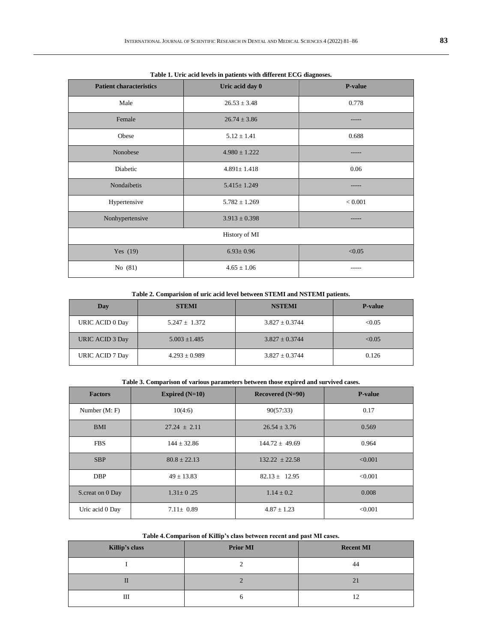| Table 1. Ofte acid levels in patients with unterent ECG diagnoses. |                   |                |  |  |
|--------------------------------------------------------------------|-------------------|----------------|--|--|
| <b>Patient characteristics</b>                                     | Uric acid day 0   | <b>P-value</b> |  |  |
| Male                                                               | $26.53 \pm 3.48$  | 0.778          |  |  |
| Female                                                             | $26.74 \pm 3.86$  |                |  |  |
| Obese                                                              | $5.12 \pm 1.41$   | 0.688          |  |  |
| Nonobese                                                           | $4.980 \pm 1.222$ |                |  |  |
| Diabetic                                                           | $4.891 \pm 1.418$ | 0.06           |  |  |
| Nondaibetis                                                        | $5.415 \pm 1.249$ |                |  |  |
| Hypertensive                                                       | $5.782 \pm 1.269$ | < 0.001        |  |  |
| Nonhypertensive                                                    | $3.913 \pm 0.398$ |                |  |  |
| History of MI                                                      |                   |                |  |  |
| Yes $(19)$                                                         | $6.93 \pm 0.96$   | < 0.05         |  |  |
| No $(81)$                                                          | $4.65 \pm 1.06$   |                |  |  |

**Table 1. Uric acid levels in patients with different ECG diagnoses.**

**Table 2. Comparision of uric acid level between STEMI and NSTEMI patients.**

| Day             | <b>STEMI</b>      | <b>NSTEMI</b>      | <b>P-value</b> |
|-----------------|-------------------|--------------------|----------------|
| URIC ACID 0 Day | $5.247 \pm 1.372$ | $3.827 \pm 0.3744$ | < 0.05         |
| URIC ACID 3 Day | $5.003 \pm 1.485$ | $3.827 \pm 0.3744$ | < 0.05         |
| URIC ACID 7 Day | $4.293 \pm 0.989$ | $3.827 \pm 0.3744$ | 0.126          |

**Table 3. Comparison of various parameters between those expired and survived cases.**

| <b>Factors</b>   | Expired $(N=10)$ | Recovered $(N=90)$ | <b>P-value</b> |
|------------------|------------------|--------------------|----------------|
| Number $(M; F)$  | 10(4:6)          | 90(57:33)          | 0.17           |
| <b>BMI</b>       | $27.24 \pm 2.11$ | $26.54 \pm 3.76$   | 0.569          |
| <b>FBS</b>       | $144 \pm 32.86$  | $144.72 \pm 49.69$ | 0.964          |
| <b>SBP</b>       | $80.8 \pm 22.13$ | $132.22 \pm 22.58$ | < 0.001        |
| <b>DBP</b>       | $49 \pm 13.83$   | $82.13 \pm 12.95$  | < 0.001        |
| S.creat on 0 Day | $1.31 \pm 0.25$  | $1.14 \pm 0.2$     | 0.008          |
| Uric acid 0 Day  | $7.11 \pm 0.89$  | $4.87 \pm 1.23$    | < 0.001        |

## **Table 4.Comparison of Killip's class between recent and past MI cases.**

| Killip's class | <b>Prior MI</b> | <b>Recent MI</b> |
|----------------|-----------------|------------------|
|                |                 | 44               |
|                |                 | 21               |
| Ш              |                 | 12               |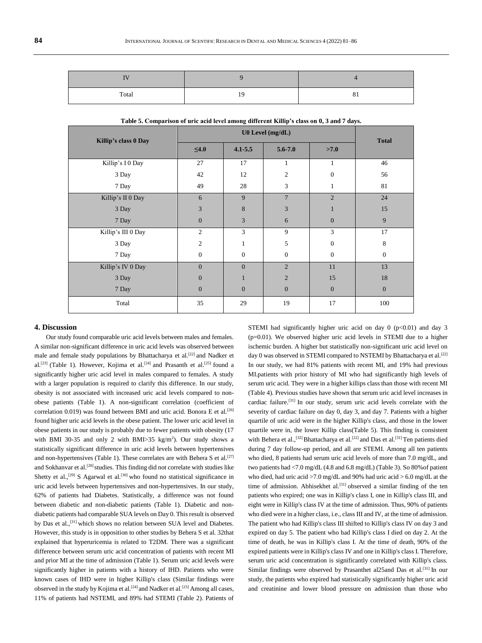| .     |    |                 |
|-------|----|-----------------|
| Total | ١q | Ω<br>$^{\circ}$ |

| Killip's class 0 Day | U0 Level (mg/dL) |                |                  |                  | <b>Total</b>     |
|----------------------|------------------|----------------|------------------|------------------|------------------|
|                      | $\leq 4.0$       | $4.1 - 5.5$    | $5.6 - 7.0$      | >7.0             |                  |
| Killip's IO Day      | 27               | 17             | 1                | 1                | 46               |
| 3 Day                | 42               | 12             | $\overline{c}$   | $\overline{0}$   | 56               |
| 7 Day                | 49               | 28             | 3                | 1                | 81               |
| Killip's II 0 Day    | 6                | 9              | $\overline{7}$   | $\overline{2}$   | 24               |
| 3 Day                | $\mathfrak{Z}$   | 8              | 3                |                  | 15               |
| 7 Day                | $\mathbf{0}$     | 3              | 6                | $\boldsymbol{0}$ | 9                |
| Killip's III 0 Day   | $\mathfrak{2}$   | 3              | 9                | 3                | 17               |
| 3 Day                | $\overline{2}$   | $\mathbf{1}$   | 5                | $\overline{0}$   | $\,8\,$          |
| 7 Day                | $\boldsymbol{0}$ | $\mathbf{0}$   | $\mathbf{0}$     | $\overline{0}$   | $\mathbf{0}$     |
| Killip's IV 0 Day    | $\mathbf{0}$     | $\overline{0}$ | $\overline{2}$   | 11               | 13               |
| 3 Day                | $\mathbf{0}$     | $\mathbf{1}$   | $\overline{2}$   | 15               | 18               |
| 7 Day                | $\mathbf{0}$     | $\overline{0}$ | $\boldsymbol{0}$ | $\boldsymbol{0}$ | $\boldsymbol{0}$ |
| Total                | 35               | 29             | 19               | 17               | 100              |

| Table 5. Comparison of uric acid level among different Killip's class on 0, 3 and 7 days. |  |  |
|-------------------------------------------------------------------------------------------|--|--|
|                                                                                           |  |  |

## **4. Discussion**

Our study found comparable uric acid levels between males and females. A similar non-significant difference in uric acid levels was observed between male and female study populations by Bhattacharya et al.[22] and Nadker et al.<sup>[23]</sup> (Table 1). However, Kojima et al.<sup>[24]</sup> and Prasanth et al.<sup>[25]</sup> found a significantly higher uric acid level in males compared to females. A study with a larger population is required to clarify this difference. In our study, obesity is not associated with increased uric acid levels compared to nonobese patients (Table 1). A non-significant correlation (coefficient of correlation 0.019) was found between BMI and uric acid. Bonora E et al.<sup>[26]</sup> found higher uric acid levels in the obese patient. The lower uric acid level in obese patients in our study is probably due to fewer patients with obesity (17 with BMI 30-35 and only 2 with BMI $>35$  kg/m<sup>2</sup>). Our study shows a statistically significant difference in uric acid levels between hypertensives and non-hypertensives (Table 1). These correlates are with Behera S et al.<sup>[27]</sup> and Sokhanvar et al.<sup>[28]</sup> studies. This finding did not correlate with studies like Shetty et al.,<sup>[29]</sup> S Agarwal et al.<sup>[30]</sup> who found no statistical significance in uric acid levels between hypertensives and non-hypertensives. In our study, 62% of patients had Diabetes. Statistically, a difference was not found between diabetic and non-diabetic patients (Table 1). Diabetic and nondiabetic patients had comparable SUA levels on Day 0. This result is observed by Das et al.,<sup>[31]</sup> which shows no relation between SUA level and Diabetes. However, this study is in opposition to other studies by Behera S et al. 32that explained that hyperuricemia is related to T2DM. There was a significant difference between serum uric acid concentration of patients with recent MI and prior MI at the time of admission (Table 1). Serum uric acid levels were significantly higher in patients with a history of IHD. Patients who were known cases of IHD were in higher Killip's class (Similar findings were observed in the study by Kojima et al.<sup>[24]</sup> and Nadker et al.<sup>[23]</sup> Among all cases, 11% of patients had NSTEMI, and 89% had STEMI (Table 2). Patients of STEMI had significantly higher uric acid on day  $0$  ( $p<0.01$ ) and day 3 (p=0.01). We observed higher uric acid levels in STEMI due to a higher ischemic burden. A higher but statistically non-significant uric acid level on day 0 was observed in STEMI compared to NSTEMI by Bhattacharya et al.<sup>[22]</sup> In our study, we had 81% patients with recent MI, and 19% had previous MI.patients with prior history of MI who had significantly high levels of serum uric acid. They were in a higher killips class than those with recent MI (Table 4). Previous studies have shown that serum uric acid level increases in cardiac failure. [31] In our study, serum uric acid levels correlate with the severity of cardiac failure on day 0, day 3, and day 7. Patients with a higher quartile of uric acid were in the higher Killip's class, and those in the lower quartile were in, the lower Killip class(Table 5). This finding is consistent with Behera et al.,<sup>[32]</sup> Bhattacharya et al.<sup>[22]</sup> and Das et al.<sup>[31]</sup> Ten patients died during 7 day follow-up period, and all are STEMI. Among all ten patients who died, 8 patients had serum uric acid levels of more than 7.0 mg/dL, and two patients had <7.0 mg/dL (4.8 and 6.8 mg/dL) (Table 3). So 80%of patient who died, had uric acid >7.0 mg/dL and 90% had uric acid > 6.0 mg/dL at the time of admission. Abhisekhet al.<sup>[31]</sup> observed a similar finding of the ten patients who expired; one was in Killip's class I, one in Killip's class III, and eight were in Killip's class IV at the time of admission. Thus, 90% of patients who died were in a higher class, i.e., class III and IV, at the time of admission. The patient who had Killip's class III shifted to Killip's class IV on day 3 and expired on day 5. The patient who had Killip's class I died on day 2. At the time of death, he was in Killip's class I. At the time of death, 90% of the expired patients were in Killip's class IV and one in Killip's class I. Therefore, serum uric acid concentration is significantly correlated with Killip's class. Similar findings were observed by Prasanthet al25and Das et al.<sup>[31]</sup> In our study, the patients who expired had statistically significantly higher uric acid and creatinine and lower blood pressure on admission than those who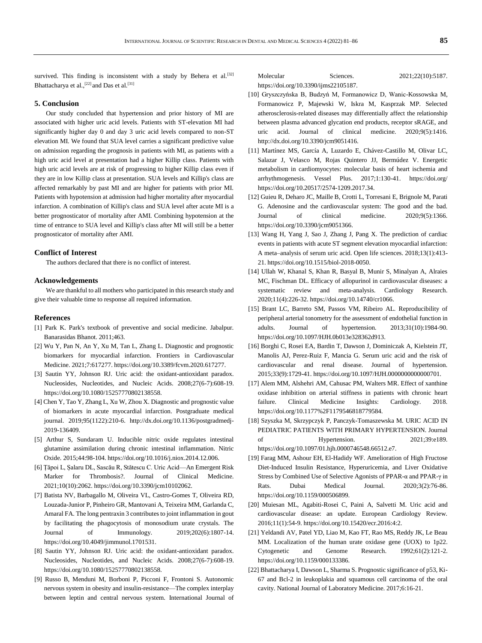survived. This finding is inconsistent with a study by Behera et al.<sup>[32]</sup> Bhattacharya et al.,<sup>[22]</sup> and Das et al.<sup>[31]</sup>

## **5. Conclusion**

Our study concluded that hypertension and prior history of MI are associated with higher uric acid levels. Patients with ST-elevation MI had significantly higher day 0 and day 3 uric acid levels compared to non-ST elevation MI. We found that SUA level carries a significant predictive value on admission regarding the prognosis in patients with MI, as patients with a high uric acid level at presentation had a higher Killip class. Patients with high uric acid levels are at risk of progressing to higher Killip class even if they are in low Killip class at presentation. SUA levels and Killip's class are affected remarkably by past MI and are higher for patients with prior MI. Patients with hypotension at admission had higher mortality after myocardial infarction. A combination of Killip's class and SUA level after acute MI is a better prognosticator of mortality after AMI. Combining hypotension at the time of entrance to SUA level and Killip's class after MI will still be a better prognosticator of mortality after AMI.

#### **Conflict of Interest**

The authors declared that there is no conflict of interest.

#### **Acknowledgements**

We are thankful to all mothers who participated in this research study and give their valuable time to response all required information.

# **References**

- [1] Park K. Park's textbook of preventive and social medicine. Jabalpur. Banarasidas Bhanot. 2011;463.
- [2] Wu Y, Pan N, An Y, Xu M, Tan L, Zhang L. Diagnostic and prognostic biomarkers for myocardial infarction. Frontiers in Cardiovascular Medicine. 2021;7:617277. https://doi.org/10.3389/fcvm.2020.617277.
- [3] Sautin YY, Johnson RJ. Uric acid: the oxidant-antioxidant paradox. Nucleosides, Nucleotides, and Nucleic Acids. 2008;27(6-7):608-19. https://doi.org/10.1080/15257770802138558.
- [4] Chen Y, Tao Y, Zhang L, Xu W, Zhou X. Diagnostic and prognostic value of biomarkers in acute myocardial infarction. Postgraduate medical journal. 2019;95(1122):210-6. http://dx.doi.org/10.1136/postgradmedj-2019-136409.
- [5] Arthur S, Sundaram U. Inducible nitric oxide regulates intestinal glutamine assimilation during chronic intestinal inflammation. Nitric Oxide. 2015;44:98-104. https://doi.org/10.1016/j.niox.2014.12.006.
- [6] Țăpoi L, Șalaru DL, Sascău R, Stătescu C. Uric Acid—An Emergent Risk Marker for Thrombosis?. Journal of Clinical Medicine. 2021;10(10):2062. https://doi.org/10.3390/jcm10102062.
- [7] Batista NV, Barbagallo M, Oliveira VL, Castro-Gomes T, Oliveira RD, Louzada-Junior P, Pinheiro GR, Mantovani A, Teixeira MM, Garlanda C, Amaral FA. The long pentraxin 3 contributes to joint inflammation in gout by facilitating the phagocytosis of monosodium urate crystals. The Journal of Immunology. 2019;202(6):1807-14. https://doi.org/10.4049/jimmunol.1701531.
- [8] Sautin YY, Johnson RJ. Uric acid: the oxidant-antioxidant paradox. Nucleosides, Nucleotides, and Nucleic Acids. 2008;27(6-7):608-19. https://doi.org/10.1080/15257770802138558.
- [9] Russo B, Menduni M, Borboni P, Picconi F, Frontoni S. Autonomic nervous system in obesity and insulin-resistance—The complex interplay between leptin and central nervous system. International Journal of

Molecular Sciences. 2021;22(10):5187. https://doi.org/10.3390/ijms22105187.

- [10] Gryszczyńska B, Budzyń M, Formanowicz D, Wanic-Kossowska M, Formanowicz P, Majewski W, Iskra M, Kasprzak MP. Selected atherosclerosis-related diseases may differentially affect the relationship between plasma advanced glycation end products, receptor sRAGE, and uric acid. Journal of clinical medicine. 2020;9(5):1416. http://dx.doi.org/10.3390/jcm9051416.
- [11] Martínez MS, García A, Luzardo E, Chávez-Castillo M, Olivar LC, Salazar J, Velasco M, Rojas Quintero JJ, Bermúdez V. Energetic metabolism in cardiomyocytes: molecular basis of heart ischemia and arrhythmogenesis. Vessel Plus. 2017;1:130-41. https://doi.org/ https://doi.org/10.20517/2574-1209.2017.34.
- [12] Guieu R, Deharo JC, Maille B, Crotti L, Torresani E, Brignole M, Parati G. Adenosine and the cardiovascular system: The good and the bad. Journal of clinical medicine. 2020;9(5):1366. https://doi.org/10.3390/jcm9051366.
- [13] Wang H, Yang J, Sao J, Zhang J, Pang X. The prediction of cardiac events in patients with acute ST segment elevation myocardial infarction: A meta–analysis of serum uric acid. Open life sciences. 2018;13(1):413- 21. https://doi.org/10.1515/biol-2018-0050.
- [14] Ullah W, Khanal S, Khan R, Basyal B, Munir S, Minalyan A, Alraies MC, Fischman DL. Efficacy of allopurinol in cardiovascular diseases: a systematic review and meta-analysis. Cardiology Research. 2020;11(4):226-32. https://doi.org/10.14740/cr1066.
- [15] Brant LC, Barreto SM, Passos VM, Ribeiro AL. Reproducibility of peripheral arterial tonometry for the assessment of endothelial function in adults. Journal of hypertension. 2013;31(10):1984-90. https://doi.org/10.1097/HJH.0b013e328362d913.
- [16] Borghi C, Rosei EA, Bardin T, Dawson J, Dominiczak A, Kielstein JT, Manolis AJ, Perez-Ruiz F, Mancia G. Serum uric acid and the risk of cardiovascular and renal disease. Journal of hypertension. 2015;33(9):1729-41. https://doi.org/10.1097/HJH.0000000000000701.
- [17] Alem MM, Alshehri AM, Cahusac PM, Walters MR. Effect of xanthine oxidase inhibition on arterial stiffness in patients with chronic heart failure. Clinical Medicine Insights: Cardiology. 2018. https://doi.org/10.1177%2F1179546818779584.
- [18] Szyszka M, Skrzypczyk P, Panczyk-Tomaszewska M. URIC ACID IN PEDIATRIC PATIENTS WITH PRIMARY HYPERTENSION. Journal of Hypertension. 2021;39:e189. https://doi.org/10.1097/01.hjh.0000746548.66512.e7.
- [19] Farag MM, Ashour EH, El-Hadidy WF. Amelioration of High Fructose Diet-Induced Insulin Resistance, Hyperuricemia, and Liver Oxidative Stress by Combined Use of Selective Agonists of PPAR-α and PPAR-γ in Rats. Dubai Medical Journal. 2020;3(2):76-86. https://doi.org/10.1159/000506899.
- [20] Muiesan ML, Agabiti-Rosei C, Paini A, Salvetti M. Uric acid and cardiovascular disease: an update. European Cardiology Review. 2016;11(1):54-9. https://doi.org/10.15420/ecr.2016:4:2.
- [21] Yeldandi AV, Patel YD, Liao M, Kao FT, Rao MS, Reddy JK, Le Beau MM. Localization of the human urate oxidase gene (UOX) to 1p22. Cytogenetic and Genome Research. 1992;61(2):121-2. https://doi.org/10.1159/000133386.
- [22] Bhattacharya I, Dawson L, Sharma S. Prognostic significance of p53, Ki-67 and Bcl-2 in leukoplakia and squamous cell carcinoma of the oral cavity. National Journal of Laboratory Medicine. 2017;6:16-21.